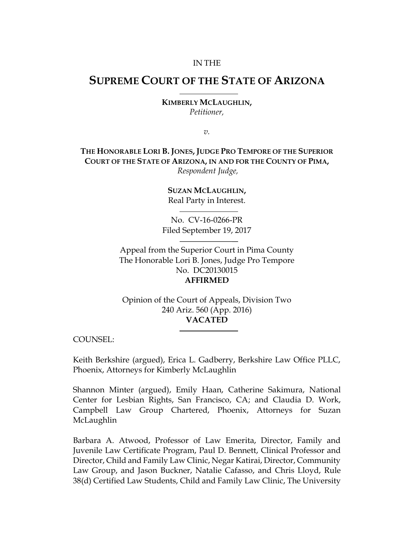#### IN THE

# **SUPREME COURT OF THE STATE OF ARIZONA**

**KIMBERLY MCLAUGHLIN,** *Petitioner,*

*v.*

**THE HONORABLE LORI B. JONES, JUDGE PRO TEMPORE OF THE SUPERIOR COURT OF THE STATE OF ARIZONA, IN AND FOR THE COUNTY OF PIMA,** *Respondent Judge,*

> **SUZAN MCLAUGHLIN,** Real Party in Interest.

No. CV-16-0266-PR Filed September 19, 2017

Appeal from the Superior Court in Pima County The Honorable Lori B. Jones, Judge Pro Tempore No. DC20130015 **AFFIRMED**

Opinion of the Court of Appeals, Division Two 240 Ariz. 560 (App. 2016) **VACATED**

COUNSEL:

Keith Berkshire (argued), Erica L. Gadberry, Berkshire Law Office PLLC, Phoenix, Attorneys for Kimberly McLaughlin

Shannon Minter (argued), Emily Haan, Catherine Sakimura, National Center for Lesbian Rights, San Francisco, CA; and Claudia D. Work, Campbell Law Group Chartered, Phoenix, Attorneys for Suzan McLaughlin

Barbara A. Atwood, Professor of Law Emerita, Director, Family and Juvenile Law Certificate Program, Paul D. Bennett, Clinical Professor and Director, Child and Family Law Clinic, Negar Katirai, Director, Community Law Group, and Jason Buckner, Natalie Cafasso, and Chris Lloyd, Rule 38(d) Certified Law Students, Child and Family Law Clinic, The University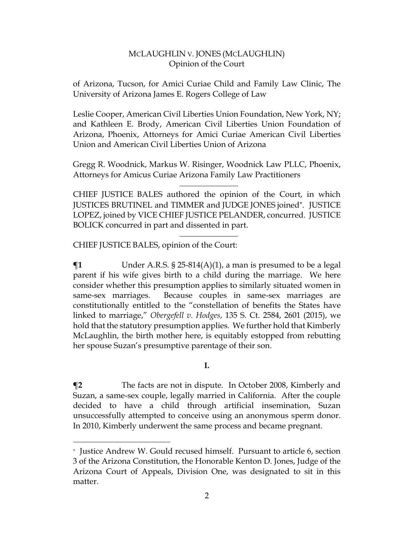of Arizona, Tucson, for Amici Curiae Child and Family Law Clinic, The University of Arizona James E. Rogers College of Law

Leslie Cooper, American Civil Liberties Union Foundation, New York, NY; and Kathleen E. Brody, American Civil Liberties Union Foundation of Arizona, Phoenix, Attorneys for Amici Curiae American Civil Liberties Union and American Civil Liberties Union of Arizona

Gregg R. Woodnick, Markus W. Risinger, Woodnick Law PLLC, Phoenix, Attorneys for Amicus Curiae Arizona Family Law Practitioners

CHIEF JUSTICE BALES authored the opinion of the Court, in which JUSTICES BRUTINEL and TIMMER and JUDGE JONES joined . JUSTICE LOPEZ, joined by VICE CHIEF JUSTICE PELANDER, concurred. JUSTICE BOLICK concurred in part and dissented in part.

CHIEF JUSTICE BALES, opinion of the Court:

 $\overline{a}$ 

 $\P$ **1** Under A.R.S. § 25-814(A)(1), a man is presumed to be a legal parent if his wife gives birth to a child during the marriage. We here consider whether this presumption applies to similarly situated women in same-sex marriages. Because couples in same-sex marriages are constitutionally entitled to the "constellation of benefits the States have linked to marriage," *Obergefell v. Hodges*, 135 S. Ct. 2584, 2601 (2015), we hold that the statutory presumption applies. We further hold that Kimberly McLaughlin, the birth mother here, is equitably estopped from rebutting her spouse Suzan's presumptive parentage of their son.

**I.** 

**¶2** The facts are not in dispute. In October 2008, Kimberly and Suzan, a same-sex couple, legally married in California. After the couple decided to have a child through artificial insemination, Suzan unsuccessfully attempted to conceive using an anonymous sperm donor. In 2010, Kimberly underwent the same process and became pregnant.

Justice Andrew W. Gould recused himself. Pursuant to article 6, section 3 of the Arizona Constitution, the Honorable Kenton D. Jones, Judge of the Arizona Court of Appeals, Division One, was designated to sit in this matter.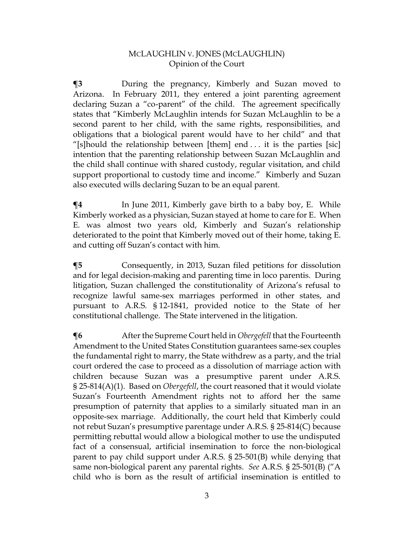**¶3** During the pregnancy, Kimberly and Suzan moved to Arizona. In February 2011, they entered a joint parenting agreement declaring Suzan a "co-parent" of the child. The agreement specifically states that "Kimberly McLaughlin intends for Suzan McLaughlin to be a second parent to her child, with the same rights, responsibilities, and obligations that a biological parent would have to her child" and that "[s]hould the relationship between [them] end  $\dots$  it is the parties [sic] intention that the parenting relationship between Suzan McLaughlin and the child shall continue with shared custody, regular visitation, and child support proportional to custody time and income." Kimberly and Suzan also executed wills declaring Suzan to be an equal parent.

 $\P$ **4** In June 2011, Kimberly gave birth to a baby boy, E. While Kimberly worked as a physician, Suzan stayed at home to care for E. When E. was almost two years old, Kimberly and Suzan's relationship deteriorated to the point that Kimberly moved out of their home, taking E. and cutting off Suzan's contact with him.

**¶5** Consequently, in 2013, Suzan filed petitions for dissolution and for legal decision-making and parenting time in loco parentis. During litigation, Suzan challenged the constitutionality of Arizona's refusal to recognize lawful same-sex marriages performed in other states, and pursuant to A.R.S. § 12-1841, provided notice to the State of her constitutional challenge. The State intervened in the litigation.

**¶6** After the Supreme Court held in *Obergefell* that the Fourteenth Amendment to the United States Constitution guarantees same-sex couples the fundamental right to marry, the State withdrew as a party, and the trial court ordered the case to proceed as a dissolution of marriage action with children because Suzan was a presumptive parent under A.R.S. § 25-814(A)(1). Based on *Obergefell*, the court reasoned that it would violate Suzan's Fourteenth Amendment rights not to afford her the same presumption of paternity that applies to a similarly situated man in an opposite-sex marriage. Additionally, the court held that Kimberly could not rebut Suzan's presumptive parentage under A.R.S. § 25-814(C) because permitting rebuttal would allow a biological mother to use the undisputed fact of a consensual, artificial insemination to force the non-biological parent to pay child support under A.R.S. § 25-501(B) while denying that same non-biological parent any parental rights. *See* A.R.S. § 25-501(B) ("A child who is born as the result of artificial insemination is entitled to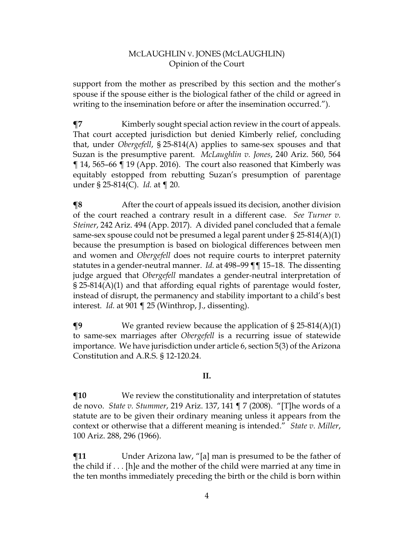support from the mother as prescribed by this section and the mother's spouse if the spouse either is the biological father of the child or agreed in writing to the insemination before or after the insemination occurred.").

**¶7** Kimberly sought special action review in the court of appeals. That court accepted jurisdiction but denied Kimberly relief, concluding that, under *Obergefell*, § 25-814(A) applies to same-sex spouses and that Suzan is the presumptive parent. *McLaughlin v. Jones*, 240 Ariz. 560, 564 ¶ 14, 565–66 ¶ 19 (App. 2016). The court also reasoned that Kimberly was equitably estopped from rebutting Suzan's presumption of parentage under § 25-814(C). *Id.* at ¶ 20.

**The Term** After the court of appeals issued its decision, another division of the court reached a contrary result in a different case. *See Turner v. Steiner*, 242 Ariz. 494 (App. 2017). A divided panel concluded that a female same-sex spouse could not be presumed a legal parent under § 25-814(A)(1) because the presumption is based on biological differences between men and women and *Obergefell* does not require courts to interpret paternity statutes in a gender-neutral manner. *Id.* at 498–99 ¶¶ 15–18. The dissenting judge argued that *Obergefell* mandates a gender-neutral interpretation of § 25-814(A)(1) and that affording equal rights of parentage would foster, instead of disrupt, the permanency and stability important to a child's best interest. *Id.* at 901 ¶ 25 (Winthrop, J., dissenting).

**¶9** We granted review because the application of § 25-814(A)(1) to same-sex marriages after *Obergefell* is a recurring issue of statewide importance. We have jurisdiction under article 6, section 5(3) of the Arizona Constitution and A.R.S. § 12-120.24.

## **II.**

 $\P$ **10** We review the constitutionality and interpretation of statutes de novo. *State v. Stummer*, 219 Ariz. 137, 141 ¶ 7 (2008). "[T]he words of a statute are to be given their ordinary meaning unless it appears from the context or otherwise that a different meaning is intended." *State v. Miller*, 100 Ariz. 288, 296 (1966).

**¶11** Under Arizona law, "[a] man is presumed to be the father of the child if . . . [h]e and the mother of the child were married at any time in the ten months immediately preceding the birth or the child is born within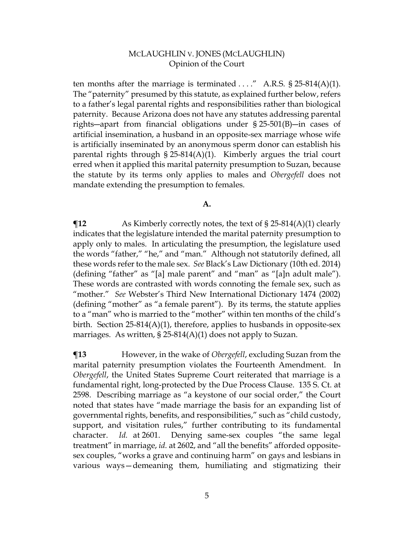ten months after the marriage is terminated  $\dots$ ." A.R.S. § 25-814(A)(1). The "paternity" presumed by this statute, as explained further below, refers to a father's legal parental rights and responsibilities rather than biological paternity. Because Arizona does not have any statutes addressing parental rights―apart from financial obligations under § 25-501(B)―in cases of artificial insemination, a husband in an opposite-sex marriage whose wife is artificially inseminated by an anonymous sperm donor can establish his parental rights through  $\S 25-814(A)(1)$ . Kimberly argues the trial court erred when it applied this marital paternity presumption to Suzan, because the statute by its terms only applies to males and *Obergefell* does not mandate extending the presumption to females.

#### **A.**

**¶12** As Kimberly correctly notes, the text of § 25-814(A)(1) clearly indicates that the legislature intended the marital paternity presumption to apply only to males. In articulating the presumption, the legislature used the words "father," "he," and "man." Although not statutorily defined, all these words refer to the male sex. *See* Black's Law Dictionary (10th ed. 2014) (defining "father" as "[a] male parent" and "man" as "[a]n adult male"). These words are contrasted with words connoting the female sex, such as "mother." *See* Webster's Third New International Dictionary 1474 (2002) (defining "mother" as "a female parent"). By its terms, the statute applies to a "man" who is married to the "mother" within ten months of the child's birth. Section  $25-814(A)(1)$ , therefore, applies to husbands in opposite-sex marriages. As written, § 25-814(A)(1) does not apply to Suzan.

**¶13** However, in the wake of *Obergefell*, excluding Suzan from the marital paternity presumption violates the Fourteenth Amendment. In *Obergefell*, the United States Supreme Court reiterated that marriage is a fundamental right, long-protected by the Due Process Clause. 135 S. Ct. at 2598. Describing marriage as "a keystone of our social order," the Court noted that states have "made marriage the basis for an expanding list of governmental rights, benefits, and responsibilities," such as "child custody, support, and visitation rules," further contributing to its fundamental character. *Id.* at 2601. Denying same-sex couples "the same legal treatment" in marriage, *id.* at 2602, and "all the benefits" afforded oppositesex couples, "works a grave and continuing harm" on gays and lesbians in various ways—demeaning them, humiliating and stigmatizing their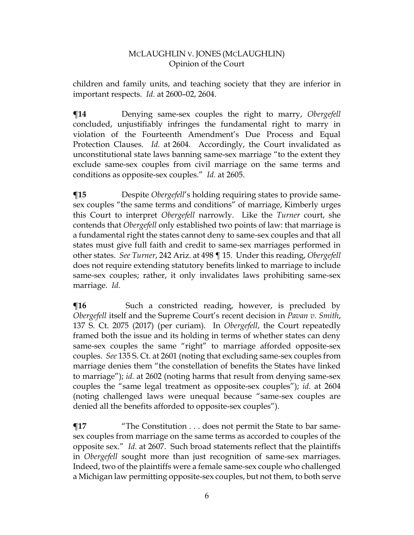children and family units, and teaching society that they are inferior in important respects. *Id.* at 2600–02, 2604.

**¶14** Denying same-sex couples the right to marry, *Obergefell* concluded, unjustifiably infringes the fundamental right to marry in violation of the Fourteenth Amendment's Due Process and Equal Protection Clauses. *Id.* at 2604. Accordingly, the Court invalidated as unconstitutional state laws banning same-sex marriage "to the extent they exclude same-sex couples from civil marriage on the same terms and conditions as opposite-sex couples." *Id.* at 2605.

**¶15** Despite *Obergefell*'s holding requiring states to provide samesex couples "the same terms and conditions" of marriage, Kimberly urges this Court to interpret *Obergefell* narrowly. Like the *Turner* court, she contends that *Obergefell* only established two points of law: that marriage is a fundamental right the states cannot deny to same-sex couples and that all states must give full faith and credit to same-sex marriages performed in other states. *See Turner*, 242 Ariz. at 498 ¶ 15. Under this reading, *Obergefell* does not require extending statutory benefits linked to marriage to include same-sex couples; rather, it only invalidates laws prohibiting same-sex marriage. *Id.*

**The Such a constricted reading, however, is precluded by** *Obergefell* itself and the Supreme Court's recent decision in *Pavan v. Smith*, 137 S. Ct. 2075 (2017) (per curiam). In *Obergefell*, the Court repeatedly framed both the issue and its holding in terms of whether states can deny same-sex couples the same "right" to marriage afforded opposite-sex couples. *See* 135 S. Ct. at 2601 (noting that excluding same-sex couples from marriage denies them "the constellation of benefits the States have linked to marriage"); *id.* at 2602 (noting harms that result from denying same-sex couples the "same legal treatment as opposite-sex couples"); *id.* at 2604 (noting challenged laws were unequal because "same-sex couples are denied all the benefits afforded to opposite-sex couples").

**¶17** "The Constitution . . . does not permit the State to bar samesex couples from marriage on the same terms as accorded to couples of the opposite sex." *Id.* at 2607. Such broad statements reflect that the plaintiffs in *Obergefell* sought more than just recognition of same-sex marriages. Indeed, two of the plaintiffs were a female same-sex couple who challenged a Michigan law permitting opposite-sex couples, but not them, to both serve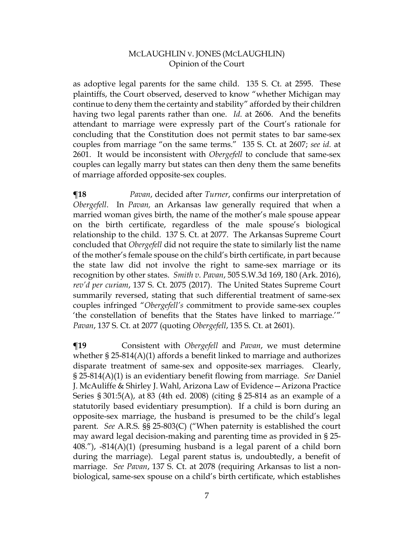as adoptive legal parents for the same child. 135 S. Ct. at 2595. These plaintiffs, the Court observed, deserved to know "whether Michigan may continue to deny them the certainty and stability" afforded by their children having two legal parents rather than one. *Id*. at 2606. And the benefits attendant to marriage were expressly part of the Court's rationale for concluding that the Constitution does not permit states to bar same-sex couples from marriage "on the same terms." 135 S. Ct. at 2607; *see id.* at 2601. It would be inconsistent with *Obergefell* to conclude that same-sex couples can legally marry but states can then deny them the same benefits of marriage afforded opposite-sex couples.

**¶18** *Pavan*, decided after *Turner*, confirms our interpretation of *Obergefell*. In *Pavan,* an Arkansas law generally required that when a married woman gives birth, the name of the mother's male spouse appear on the birth certificate, regardless of the male spouse's biological relationship to the child. 137 S. Ct. at 2077. The Arkansas Supreme Court concluded that *Obergefell* did not require the state to similarly list the name of the mother's female spouse on the child's birth certificate, in part because the state law did not involve the right to same-sex marriage or its recognition by other states. *Smith v. Pavan*, 505 S.W.3d 169, 180 (Ark. 2016), *rev'd per curiam*, 137 S. Ct. 2075 (2017). The United States Supreme Court summarily reversed, stating that such differential treatment of same-sex couples infringed "*Obergefell's* commitment to provide same-sex couples 'the constellation of benefits that the States have linked to marriage.'" *Pavan*, 137 S. Ct. at 2077 (quoting *Obergefell*, 135 S. Ct. at 2601).

**¶19** Consistent with *Obergefell* and *Pavan*, we must determine whether § 25-814(A)(1) affords a benefit linked to marriage and authorizes disparate treatment of same-sex and opposite-sex marriages. Clearly, § 25-814(A)(1) is an evidentiary benefit flowing from marriage. *See* Daniel J. McAuliffe & Shirley J. Wahl, Arizona Law of Evidence—Arizona Practice Series § 301:5(A), at 83 (4th ed. 2008) (citing § 25-814 as an example of a statutorily based evidentiary presumption). If a child is born during an opposite-sex marriage, the husband is presumed to be the child's legal parent. *See* A.R.S. §§ 25-803(C) ("When paternity is established the court may award legal decision-making and parenting time as provided in § 25- 408."),  $-814(A)(1)$  (presuming husband is a legal parent of a child born during the marriage). Legal parent status is, undoubtedly, a benefit of marriage. *See Pavan*, 137 S. Ct. at 2078 (requiring Arkansas to list a nonbiological, same-sex spouse on a child's birth certificate, which establishes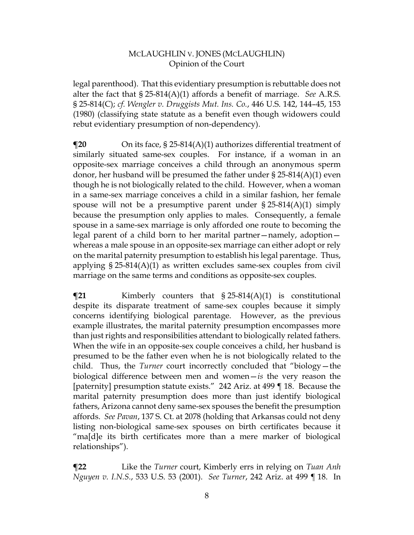legal parenthood). That this evidentiary presumption is rebuttable does not alter the fact that § 25-814(A)(1) affords a benefit of marriage. *See* A.R.S. § 25-814(C); *cf. Wengler v. Druggists Mut. Ins. Co.*, 446 U.S. 142, 144–45, 153 (1980) (classifying state statute as a benefit even though widowers could rebut evidentiary presumption of non-dependency).

**¶20** On its face, § 25-814(A)(1) authorizes differential treatment of similarly situated same-sex couples. For instance, if a woman in an opposite-sex marriage conceives a child through an anonymous sperm donor, her husband will be presumed the father under  $\S 25-814(A)(1)$  even though he is not biologically related to the child. However, when a woman in a same-sex marriage conceives a child in a similar fashion, her female spouse will not be a presumptive parent under  $\S 25-814(A)(1)$  simply because the presumption only applies to males. Consequently, a female spouse in a same-sex marriage is only afforded one route to becoming the legal parent of a child born to her marital partner—namely, adoption whereas a male spouse in an opposite-sex marriage can either adopt or rely on the marital paternity presumption to establish his legal parentage. Thus, applying § 25-814(A)(1) as written excludes same-sex couples from civil marriage on the same terms and conditions as opposite-sex couples.

**¶21** Kimberly counters that § 25-814(A)(1) is constitutional despite its disparate treatment of same-sex couples because it simply concerns identifying biological parentage. However, as the previous example illustrates, the marital paternity presumption encompasses more than just rights and responsibilities attendant to biologically related fathers. When the wife in an opposite-sex couple conceives a child, her husband is presumed to be the father even when he is not biologically related to the child. Thus, the *Turner* court incorrectly concluded that "biology—the biological difference between men and women—*is* the very reason the [paternity] presumption statute exists." 242 Ariz. at 499 ¶ 18. Because the marital paternity presumption does more than just identify biological fathers, Arizona cannot deny same-sex spouses the benefit the presumption affords. *See Pavan*, 137 S. Ct. at 2078 (holding that Arkansas could not deny listing non-biological same-sex spouses on birth certificates because it "ma[d]e its birth certificates more than a mere marker of biological relationships").

**¶22** Like the *Turner* court, Kimberly errs in relying on *Tuan Anh Nguyen v. I.N.S.*, 533 U.S. 53 (2001). *See Turner*, 242 Ariz. at 499 ¶ 18. In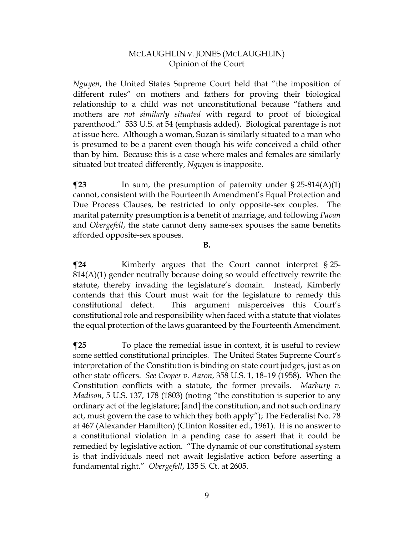*Nguyen*, the United States Supreme Court held that "the imposition of different rules" on mothers and fathers for proving their biological relationship to a child was not unconstitutional because "fathers and mothers are *not similarly situated* with regard to proof of biological parenthood." 533 U.S. at 54 (emphasis added). Biological parentage is not at issue here. Although a woman, Suzan is similarly situated to a man who is presumed to be a parent even though his wife conceived a child other than by him. Because this is a case where males and females are similarly situated but treated differently, *Nguyen* is inapposite.

**The State State State State State State State State State State State State State State State State State State State State State State State State State State State State State State State State State State State State S** cannot, consistent with the Fourteenth Amendment's Equal Protection and Due Process Clauses, be restricted to only opposite-sex couples. The marital paternity presumption is a benefit of marriage, and following *Pavan* and *Obergefell*, the state cannot deny same-sex spouses the same benefits afforded opposite-sex spouses.

**B.**

**¶24** Kimberly argues that the Court cannot interpret § 25- 814(A)(1) gender neutrally because doing so would effectively rewrite the statute, thereby invading the legislature's domain. Instead, Kimberly contends that this Court must wait for the legislature to remedy this constitutional defect. This argument misperceives this Court's constitutional role and responsibility when faced with a statute that violates the equal protection of the laws guaranteed by the Fourteenth Amendment.

**¶25** To place the remedial issue in context, it is useful to review some settled constitutional principles. The United States Supreme Court's interpretation of the Constitution is binding on state court judges, just as on other state officers. *See Cooper v. Aaron*, 358 U.S. 1, 18–19 (1958). When the Constitution conflicts with a statute, the former prevails. *Marbury v. Madison*, 5 U.S. 137, 178 (1803) (noting "the constitution is superior to any ordinary act of the legislature; [and] the constitution, and not such ordinary act, must govern the case to which they both apply"); The Federalist No. 78 at 467 (Alexander Hamilton) (Clinton Rossiter ed., 1961). It is no answer to a constitutional violation in a pending case to assert that it could be remedied by legislative action. "The dynamic of our constitutional system is that individuals need not await legislative action before asserting a fundamental right." *Obergefell*, 135 S. Ct. at 2605.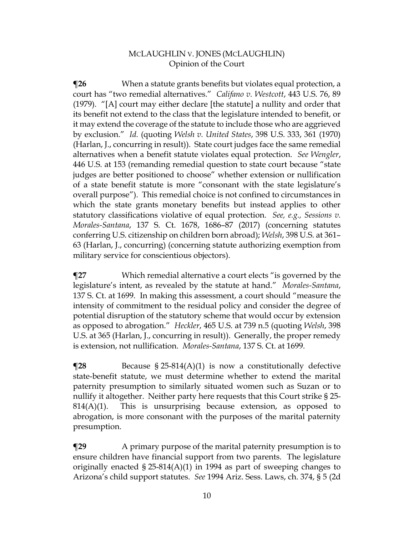**¶26** When a statute grants benefits but violates equal protection, a court has "two remedial alternatives." *Califano v. Westcott*, 443 U.S. 76, 89 (1979). "[A] court may either declare [the statute] a nullity and order that its benefit not extend to the class that the legislature intended to benefit, or it may extend the coverage of the statute to include those who are aggrieved by exclusion." *Id.* (quoting *Welsh v. United States*, 398 U.S. 333, 361 (1970) (Harlan, J., concurring in result)). State court judges face the same remedial alternatives when a benefit statute violates equal protection. *See Wengler*, 446 U.S. at 153 (remanding remedial question to state court because "state judges are better positioned to choose" whether extension or nullification of a state benefit statute is more "consonant with the state legislature's overall purpose"). This remedial choice is not confined to circumstances in which the state grants monetary benefits but instead applies to other statutory classifications violative of equal protection. *See, e.g., Sessions v. Morales-Santana*, 137 S. Ct. 1678, 1686–87 (2017) (concerning statutes conferring U.S. citizenship on children born abroad); *Welsh*, 398 U.S. at 361– 63 (Harlan, J., concurring) (concerning statute authorizing exemption from military service for conscientious objectors).

**¶27** Which remedial alternative a court elects "is governed by the legislature's intent, as revealed by the statute at hand." *Morales-Santana*, 137 S. Ct. at 1699. In making this assessment, a court should "measure the intensity of commitment to the residual policy and consider the degree of potential disruption of the statutory scheme that would occur by extension as opposed to abrogation." *Heckler*, 465 U.S. at 739 n.5 (quoting *Welsh*, 398 U.S. at 365 (Harlan, J., concurring in result)). Generally, the proper remedy is extension, not nullification. *Morales-Santana*, 137 S. Ct. at 1699.

**¶28** Because § 25-814(A)(1) is now a constitutionally defective state-benefit statute, we must determine whether to extend the marital paternity presumption to similarly situated women such as Suzan or to nullify it altogether. Neither party here requests that this Court strike § 25-  $814(A)(1)$ . This is unsurprising because extension, as opposed to abrogation, is more consonant with the purposes of the marital paternity presumption.

**The Eq. 3** A primary purpose of the marital paternity presumption is to ensure children have financial support from two parents. The legislature originally enacted § 25-814(A)(1) in 1994 as part of sweeping changes to Arizona's child support statutes. *See* 1994 Ariz. Sess. Laws, ch. 374, § 5 (2d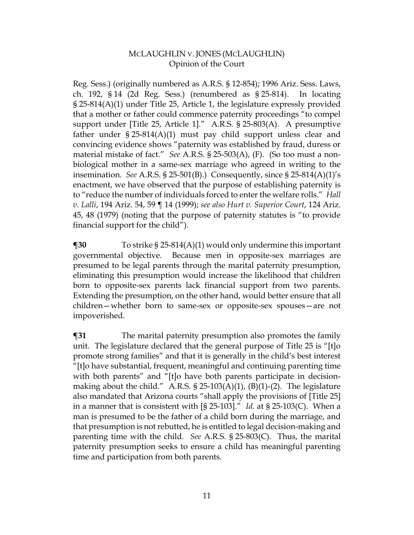Reg. Sess.) (originally numbered as A.R.S. § 12-854); 1996 Ariz. Sess. Laws, ch. 192, § 14 (2d Reg. Sess.) (renumbered as § 25-814). In locating § 25-814(A)(1) under Title 25, Article 1, the legislature expressly provided that a mother or father could commence paternity proceedings "to compel support under [Title 25, Article 1]." A.R.S. § 25-803(A). A presumptive father under  $\S 25-814(A)(1)$  must pay child support unless clear and convincing evidence shows "paternity was established by fraud, duress or material mistake of fact." *See* A.R.S. § 25-503(A), (F). (So too must a nonbiological mother in a same-sex marriage who agreed in writing to the insemination. *See* A.R.S. § 25-501(B).) Consequently, since § 25-814(A)(1)'s enactment, we have observed that the purpose of establishing paternity is to "reduce the number of individuals forced to enter the welfare rolls." *Hall v. Lalli*, 194 Ariz. 54, 59 ¶ 14 (1999); *see also Hurt v. Superior Court*, 124 Ariz. 45, 48 (1979) (noting that the purpose of paternity statutes is "to provide financial support for the child").

**¶30** To strike § 25-814(A)(1) would only undermine this important governmental objective. Because men in opposite-sex marriages are presumed to be legal parents through the marital paternity presumption, eliminating this presumption would increase the likelihood that children born to opposite-sex parents lack financial support from two parents. Extending the presumption, on the other hand, would better ensure that all children—whether born to same-sex or opposite-sex spouses—are not impoverished.

**¶31** The marital paternity presumption also promotes the family unit. The legislature declared that the general purpose of Title 25 is "[t]o promote strong families" and that it is generally in the child's best interest "[t]o have substantial, frequent, meaningful and continuing parenting time with both parents" and "[t]o have both parents participate in decisionmaking about the child." A.R.S.  $\S$  25-103(A)(1), (B)(1)-(2). The legislature also mandated that Arizona courts "shall apply the provisions of [Title 25] in a manner that is consistent with [§ 25-103]." *Id.* at § 25-103(C). When a man is presumed to be the father of a child born during the marriage, and that presumption is not rebutted, he is entitled to legal decision-making and parenting time with the child. *See* A.R.S. § 25-803(C). Thus, the marital paternity presumption seeks to ensure a child has meaningful parenting time and participation from both parents.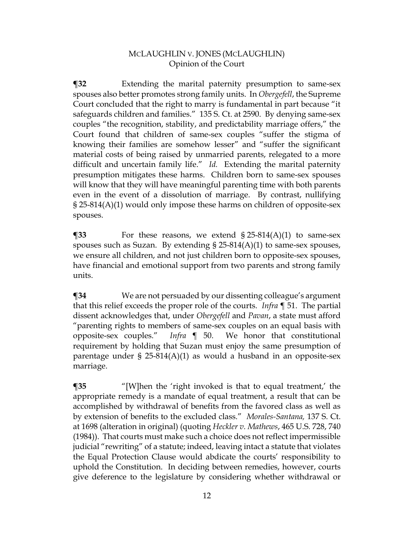**¶32** Extending the marital paternity presumption to same-sex spouses also better promotes strong family units. In *Obergefell*, the Supreme Court concluded that the right to marry is fundamental in part because "it safeguards children and families." 135 S. Ct. at 2590. By denying same-sex couples "the recognition, stability, and predictability marriage offers," the Court found that children of same-sex couples "suffer the stigma of knowing their families are somehow lesser" and "suffer the significant material costs of being raised by unmarried parents, relegated to a more difficult and uncertain family life." *Id.* Extending the marital paternity presumption mitigates these harms. Children born to same-sex spouses will know that they will have meaningful parenting time with both parents even in the event of a dissolution of marriage. By contrast, nullifying § 25-814(A)(1) would only impose these harms on children of opposite-sex spouses.

**¶33** For these reasons, we extend § 25-814(A)(1) to same-sex spouses such as Suzan. By extending  $\S 25-814(A)(1)$  to same-sex spouses, we ensure all children, and not just children born to opposite-sex spouses, have financial and emotional support from two parents and strong family units.

**¶34** We are not persuaded by our dissenting colleague's argument that this relief exceeds the proper role of the courts. *Infra* ¶ 51. The partial dissent acknowledges that, under *Obergefell* and *Pavan*, a state must afford "parenting rights to members of same-sex couples on an equal basis with opposite-sex couples." *Infra* ¶ 50. We honor that constitutional requirement by holding that Suzan must enjoy the same presumption of parentage under § 25-814(A)(1) as would a husband in an opposite-sex marriage.

**¶35** "[W]hen the 'right invoked is that to equal treatment,' the appropriate remedy is a mandate of equal treatment, a result that can be accomplished by withdrawal of benefits from the favored class as well as by extension of benefits to the excluded class." *Morales-Santana,* 137 S. Ct. at 1698 (alteration in original) (quoting *Heckler v. Mathews*, 465 U.S. 728, 740 (1984)). That courts must make such a choice does not reflect impermissible judicial "rewriting" of a statute; indeed, leaving intact a statute that violates the Equal Protection Clause would abdicate the courts' responsibility to uphold the Constitution. In deciding between remedies, however, courts give deference to the legislature by considering whether withdrawal or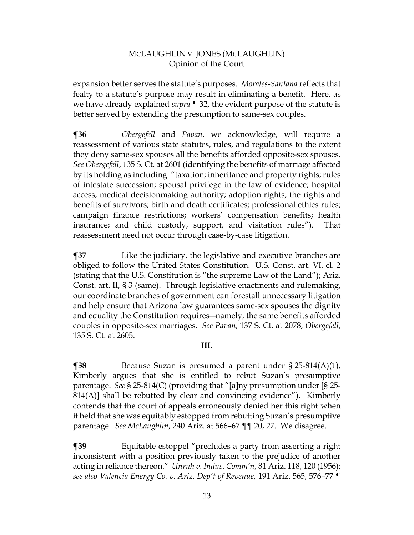expansion better serves the statute's purposes. *Morales-Santana* reflects that fealty to a statute's purpose may result in eliminating a benefit. Here, as we have already explained *supra* ¶ 32, the evident purpose of the statute is better served by extending the presumption to same-sex couples.

**¶36** *Obergefell* and *Pavan*, we acknowledge, will require a reassessment of various state statutes, rules, and regulations to the extent they deny same-sex spouses all the benefits afforded opposite-sex spouses. *See Obergefell*, 135 S. Ct. at 2601 (identifying the benefits of marriage affected by its holding as including: "taxation; inheritance and property rights; rules of intestate succession; spousal privilege in the law of evidence; hospital access; medical decisionmaking authority; adoption rights; the rights and benefits of survivors; birth and death certificates; professional ethics rules; campaign finance restrictions; workers' compensation benefits; health insurance; and child custody, support, and visitation rules"). That reassessment need not occur through case-by-case litigation.

**¶37** Like the judiciary, the legislative and executive branches are obliged to follow the United States Constitution. U.S. Const. art. VI, cl. 2 (stating that the U.S. Constitution is "the supreme Law of the Land"); Ariz. Const. art. II, § 3 (same). Through legislative enactments and rulemaking, our coordinate branches of government can forestall unnecessary litigation and help ensure that Arizona law guarantees same-sex spouses the dignity and equality the Constitution requires―namely, the same benefits afforded couples in opposite-sex marriages. *See Pavan*, 137 S. Ct. at 2078; *Obergefell*, 135 S. Ct. at 2605.

## **III.**

**¶38** Because Suzan is presumed a parent under § 25-814(A)(1), Kimberly argues that she is entitled to rebut Suzan's presumptive parentage. *See* § 25-814(C) (providing that "[a]ny presumption under [§ 25- 814(A)] shall be rebutted by clear and convincing evidence"). Kimberly contends that the court of appeals erroneously denied her this right when it held that she was equitably estopped from rebutting Suzan's presumptive parentage. *See McLaughlin*, 240 Ariz. at 566–67 ¶¶ 20, 27. We disagree.

**¶39** Equitable estoppel "precludes a party from asserting a right inconsistent with a position previously taken to the prejudice of another acting in reliance thereon." *Unruh v. Indus. Comm'n*, 81 Ariz. 118, 120 (1956); *see also Valencia Energy Co. v. Ariz. Dep't of Revenue*, 191 Ariz. 565, 576–77 ¶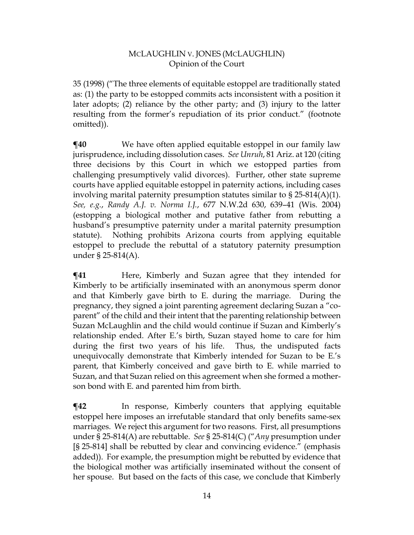35 (1998) ("The three elements of equitable estoppel are traditionally stated as: (1) the party to be estopped commits acts inconsistent with a position it later adopts; (2) reliance by the other party; and (3) injury to the latter resulting from the former's repudiation of its prior conduct." (footnote omitted)).

**¶40** We have often applied equitable estoppel in our family law jurisprudence, including dissolution cases. *See Unruh*, 81 Ariz. at 120 (citing three decisions by this Court in which we estopped parties from challenging presumptively valid divorces). Further, other state supreme courts have applied equitable estoppel in paternity actions, including cases involving marital paternity presumption statutes similar to  $\S 25-814(A)(1)$ . *See, e.g.*, *Randy A.J. v. Norma I.J.*, 677 N.W.2d 630, 639–41 (Wis. 2004) (estopping a biological mother and putative father from rebutting a husband's presumptive paternity under a marital paternity presumption statute). Nothing prohibits Arizona courts from applying equitable estoppel to preclude the rebuttal of a statutory paternity presumption under § 25-814(A).

**¶41** Here, Kimberly and Suzan agree that they intended for Kimberly to be artificially inseminated with an anonymous sperm donor and that Kimberly gave birth to E. during the marriage. During the pregnancy, they signed a joint parenting agreement declaring Suzan a "coparent" of the child and their intent that the parenting relationship between Suzan McLaughlin and the child would continue if Suzan and Kimberly's relationship ended. After E.'s birth, Suzan stayed home to care for him during the first two years of his life. Thus, the undisputed facts unequivocally demonstrate that Kimberly intended for Suzan to be E.'s parent, that Kimberly conceived and gave birth to E. while married to Suzan, and that Suzan relied on this agreement when she formed a motherson bond with E. and parented him from birth.

**¶42** In response, Kimberly counters that applying equitable estoppel here imposes an irrefutable standard that only benefits same-sex marriages. We reject this argument for two reasons. First, all presumptions under § 25-814(A) are rebuttable. *See* § 25-814(C) ("*Any* presumption under [§ 25-814] shall be rebutted by clear and convincing evidence." (emphasis added)). For example, the presumption might be rebutted by evidence that the biological mother was artificially inseminated without the consent of her spouse. But based on the facts of this case, we conclude that Kimberly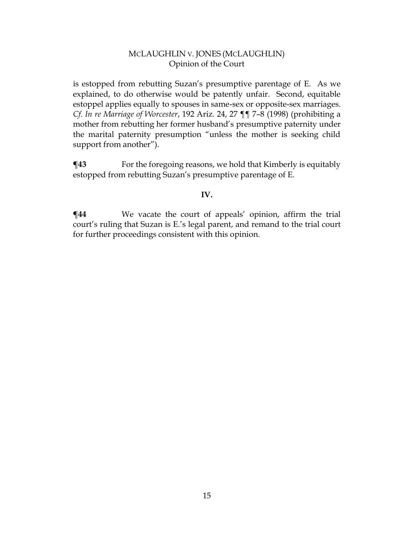is estopped from rebutting Suzan's presumptive parentage of E. As we explained, to do otherwise would be patently unfair. Second, equitable estoppel applies equally to spouses in same-sex or opposite-sex marriages. *Cf. In re Marriage of Worcester*, 192 Ariz. 24, 27 ¶¶ 7–8 (1998) (prohibiting a mother from rebutting her former husband's presumptive paternity under the marital paternity presumption "unless the mother is seeking child support from another").

 $\P$ **43** For the foregoing reasons, we hold that Kimberly is equitably estopped from rebutting Suzan's presumptive parentage of E.

## **IV.**

 $\P$ **44** We vacate the court of appeals' opinion, affirm the trial court's ruling that Suzan is E.'s legal parent, and remand to the trial court for further proceedings consistent with this opinion.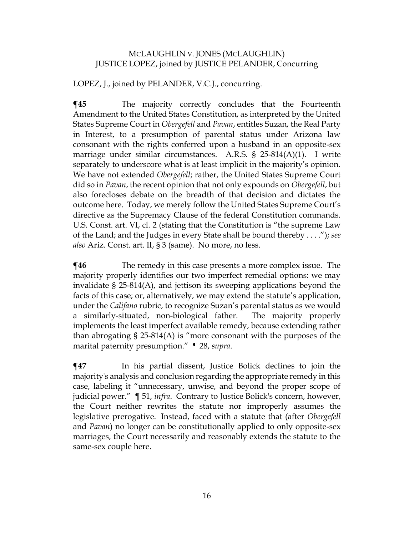# MCLAUGHLIN V. JONES (MCLAUGHLIN) JUSTICE LOPEZ, joined by JUSTICE PELANDER, Concurring

LOPEZ, J., joined by PELANDER, V.C.J., concurring.

**¶45** The majority correctly concludes that the Fourteenth Amendment to the United States Constitution, as interpreted by the United States Supreme Court in *Obergefell* and *Pavan*, entitles Suzan, the Real Party in Interest, to a presumption of parental status under Arizona law consonant with the rights conferred upon a husband in an opposite-sex marriage under similar circumstances. A.R.S. § 25-814(A)(1). I write separately to underscore what is at least implicit in the majority's opinion. We have not extended *Obergefell*; rather, the United States Supreme Court did so in *Pavan*, the recent opinion that not only expounds on *Obergefell*, but also forecloses debate on the breadth of that decision and dictates the outcome here. Today, we merely follow the United States Supreme Court's directive as the Supremacy Clause of the federal Constitution commands. U.S. Const. art. VI, cl. 2 (stating that the Constitution is "the supreme Law of the Land; and the Judges in every State shall be bound thereby . . . ."); *see also* Ariz. Const. art. II, § 3 (same). No more, no less.

 $\P$ **46** The remedy in this case presents a more complex issue. The majority properly identifies our two imperfect remedial options: we may invalidate § 25-814(A), and jettison its sweeping applications beyond the facts of this case; or, alternatively, we may extend the statute's application, under the *Califano* rubric, to recognize Suzan's parental status as we would a similarly-situated, non-biological father. The majority properly implements the least imperfect available remedy, because extending rather than abrogating  $\S 25-814(A)$  is "more consonant with the purposes of the marital paternity presumption." ¶ 28, *supra*.

**¶47** In his partial dissent, Justice Bolick declines to join the majority's analysis and conclusion regarding the appropriate remedy in this case, labeling it "unnecessary, unwise, and beyond the proper scope of judicial power." ¶ 51, *infra*. Contrary to Justice Bolick's concern, however, the Court neither rewrites the statute nor improperly assumes the legislative prerogative. Instead, faced with a statute that (after *Obergefell* and *Pavan*) no longer can be constitutionally applied to only opposite-sex marriages, the Court necessarily and reasonably extends the statute to the same-sex couple here.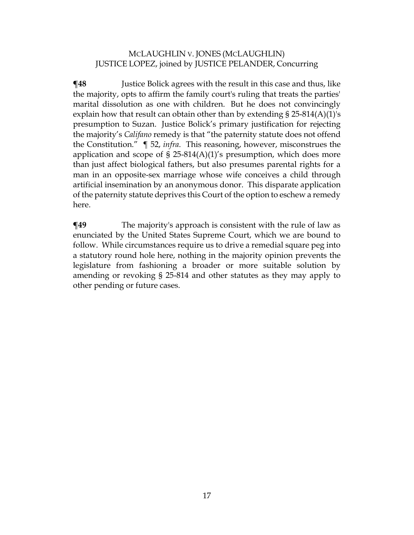# MCLAUGHLIN V. JONES (MCLAUGHLIN) JUSTICE LOPEZ, joined by JUSTICE PELANDER, Concurring

**The 48** Justice Bolick agrees with the result in this case and thus, like the majority, opts to affirm the family court's ruling that treats the parties' marital dissolution as one with children. But he does not convincingly explain how that result can obtain other than by extending § 25-814(A)(1)'s presumption to Suzan. Justice Bolick's primary justification for rejecting the majority's *Califano* remedy is that "the paternity statute does not offend the Constitution." ¶ 52, *infra*. This reasoning, however, misconstrues the application and scope of  $\S$  25-814(A)(1)'s presumption, which does more than just affect biological fathers, but also presumes parental rights for a man in an opposite-sex marriage whose wife conceives a child through artificial insemination by an anonymous donor. This disparate application of the paternity statute deprives this Court of the option to eschew a remedy here.

**¶49** The majority's approach is consistent with the rule of law as enunciated by the United States Supreme Court, which we are bound to follow. While circumstances require us to drive a remedial square peg into a statutory round hole here, nothing in the majority opinion prevents the legislature from fashioning a broader or more suitable solution by amending or revoking § 25-814 and other statutes as they may apply to other pending or future cases.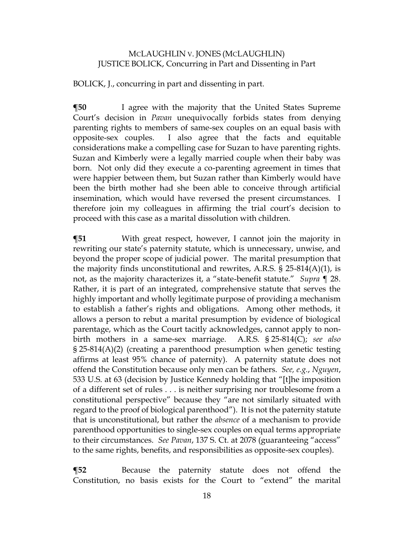#### MCLAUGHLIN V. JONES (MCLAUGHLIN) JUSTICE BOLICK, Concurring in Part and Dissenting in Part

BOLICK, J., concurring in part and dissenting in part.

**¶50** I agree with the majority that the United States Supreme Court's decision in *Pavan* unequivocally forbids states from denying parenting rights to members of same-sex couples on an equal basis with opposite-sex couples. I also agree that the facts and equitable considerations make a compelling case for Suzan to have parenting rights. Suzan and Kimberly were a legally married couple when their baby was born. Not only did they execute a co-parenting agreement in times that were happier between them, but Suzan rather than Kimberly would have been the birth mother had she been able to conceive through artificial insemination, which would have reversed the present circumstances. I therefore join my colleagues in affirming the trial court's decision to proceed with this case as a marital dissolution with children.

**¶51** With great respect, however, I cannot join the majority in rewriting our state's paternity statute, which is unnecessary, unwise, and beyond the proper scope of judicial power. The marital presumption that the majority finds unconstitutional and rewrites, A.R.S.  $\S$  25-814(A)(1), is not, as the majority characterizes it, a "state-benefit statute." *Supra* ¶ 28. Rather, it is part of an integrated, comprehensive statute that serves the highly important and wholly legitimate purpose of providing a mechanism to establish a father's rights and obligations. Among other methods, it allows a person to rebut a marital presumption by evidence of biological parentage, which as the Court tacitly acknowledges, cannot apply to nonbirth mothers in a same-sex marriage. A.R.S. § 25-814(C); *see also*  § 25-814(A)(2) (creating a parenthood presumption when genetic testing affirms at least 95% chance of paternity). A paternity statute does not offend the Constitution because only men can be fathers. *See, e.g.*, *Nguyen*, 533 U.S. at 63 (decision by Justice Kennedy holding that "[t]he imposition of a different set of rules . . . is neither surprising nor troublesome from a constitutional perspective" because they "are not similarly situated with regard to the proof of biological parenthood"). It is not the paternity statute that is unconstitutional, but rather the *absence* of a mechanism to provide parenthood opportunities to single-sex couples on equal terms appropriate to their circumstances. *See Pavan*, 137 S. Ct. at 2078 (guaranteeing "access" to the same rights, benefits, and responsibilities as opposite-sex couples).

**¶52** Because the paternity statute does not offend the Constitution, no basis exists for the Court to "extend" the marital